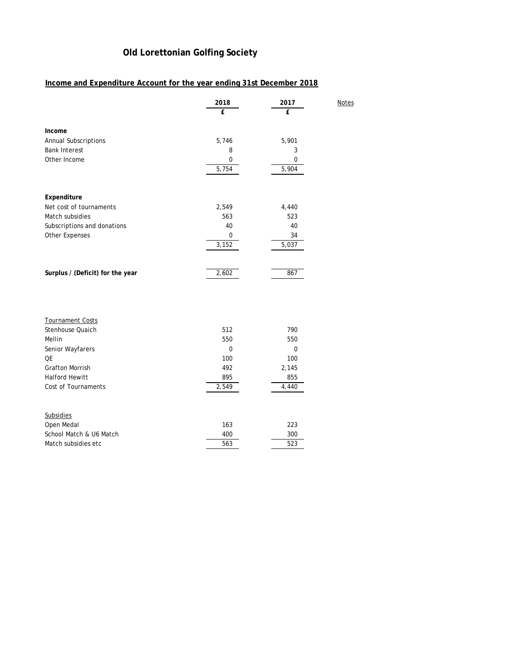## **Old Lorettonian Golfing Society**

## **Income and Expenditure Account for the year ending 31st December 2018**

|                                  | 2018<br>£   | 2017<br>£   | <b>Notes</b> |
|----------------------------------|-------------|-------------|--------------|
| Income                           |             |             |              |
| <b>Annual Subscriptions</b>      | 5,746       | 5,901       |              |
| <b>Bank Interest</b>             | 8           | 3           |              |
| Other Income                     | $\mathbf 0$ | $\mathbf 0$ |              |
|                                  | 5,754       | 5,904       |              |
|                                  |             |             |              |
| Expenditure                      |             |             |              |
| Net cost of tournaments          | 2,549       | 4,440       |              |
| Match subsidies                  | 563         | 523         |              |
| Subscriptions and donations      | 40          | 40          |              |
| <b>Other Expenses</b>            | $\mathbf 0$ | 34          |              |
|                                  | 3,152       | 5,037       |              |
|                                  |             |             |              |
| Surplus / (Deficit) for the year | 2,602       | 867         |              |
|                                  |             |             |              |
|                                  |             |             |              |
|                                  |             |             |              |

| <b>Tournament Costs</b> |       |       |
|-------------------------|-------|-------|
| Stenhouse Quaich        | 512   | 790   |
| Mellin                  | 550   | 550   |
| Senior Wayfarers        | 0     | 0     |
| <b>OE</b>               | 100   | 100   |
| <b>Grafton Morrish</b>  | 492   | 2,145 |
| <b>Halford Hewitt</b>   | 895   | 855   |
|                         | 2,549 |       |
| Cost of Tournaments     |       | 4,440 |
|                         |       |       |
| <b>Subsidies</b>        |       |       |
| Open Medal              | 163   | 223   |
| School Match & U6 Match | 400   | 300   |
| Match subsidies etc     | 563   | 523   |